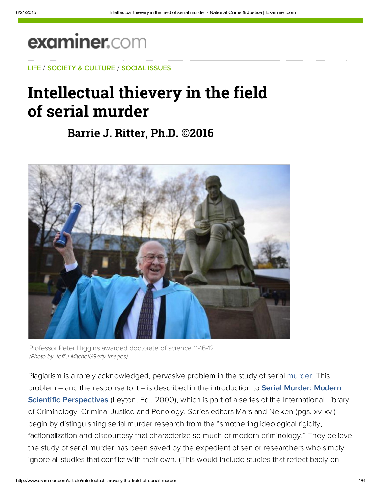# examiner.com

[L](https://www.facebook.com/Jack.C.Ritter)[IFE](http://www.examiner.com/topic/life) / [SOCIETY & C](http://web.adblade.com/clicks.php?appId=10176&zid=55ccbe0467627&adId=232985&pos=1&impt=1440185954&zoneId=797&algid=4&reqid=53d4716bc9e920bd&ord=1440185954&url=http%3A%2F%2Fwww.examiner.com%2Farticle%2Fintellectual-thievery-the-field-of-serial-murder)[ULTURE](http://www.examiner.com/society-and-culture) / [SOCIAL ISSU](http://web.adblade.com/clicks.php?appId=10176&zid=559ec62d2c963&adId=221046&pos=2&impt=1440185954&zoneId=797&algid=4&reqid=53d4716bc9e920bd&ord=1440185954&url=http%3A%2F%2Fwww.examiner.com%2Farticle%2Fintellectual-thievery-the-field-of-serial-murder)[ES](http://www.examiner.com/social-issues)

# [Int](http://web.adblade.com/clicks.php?appId=10176&zid=55ccbe0467627&adId=232985&pos=1&impt=1440185954&zoneId=797&algid=4&reqid=53d4716bc9e920bd&ord=1440185954&url=http%3A%2F%2Fwww.examiner.com%2Farticle%2Fintellectual-thievery-the-field-of-serial-murder)[ellect](https://www.facebook.com/paul.cozzo)[ual](https://www.facebook.com/pages/Driver/143751058982606) [thievery](https://www.facebook.com/ConwayTruckload) in the field [of](https://www.facebook.com/paul.cozzo) serial murder

## **[Barri](https://adclick.g.doubleclick.net/pcs/click?xai=AKAOjsv3KWKqVKFkK1Rx8EQguzHU4L0leiSMouRVFVk3JojzGLzkbf3Ytwl1wjHmWh8Xieh0bfA75cwIzK2dytTwXj_tFJCboD4jbcka7k4OE62zO7P_ynQFcou0C9mEk2tsIKplVHZG7MJ6&sig=Cg0ArKJSzLX1WEz3sW5oEAE&adurl=http://a.rfihub.com/acs/b/c3Q9aHRtbCZhYT0xNzgyMjIxLDE0OTU2MzgzLDc3NzU1MywyOTg2MTU5NSwyODU5OSwzMDc1ODksZTFkNWRlZWM0NmVmNThiODczMjc4MDJjYzdkMTAyMDUscCwxNDkxLDExMTA2MSwxNTUzMTU3MywxNjIyNTcsNDAyNjMzJm10PTEmcmI9NjQmcmU9MzQ3MDEmaGNpPSZ1dWlkPTc3NTUzMzkzMjQ3NDc3NjQwMCZkaT0mZGM9MyZkaXNyYz0w/n/https://d.agkn.com/pixel/2389/%3Fche%3D1661686810%26col%3D8434063,1396290,113976061,294170855,64413564%26l0%3Dhttps://www.timewarnercable.com/en/specials/internet-starter-tv-hbo-showtime-streaming.html%3Fdfaid%3Ddfa%26cid%3Ddsp:omd:00038328%26_vsrefdom%3DAc_RocketFuel_D)[e J. Ritter, Ph](http://web.adblade.com/clicks.php?appId=10176&zid=55ba3eeb8a24a&adId=227761&pos=4&impt=1440185954&zoneId=797&algid=4&reqid=53d4716bc9e920bd&ord=1440185954&url=http%3A%2F%2Fwww.examiner.com%2Farticle%2Fintellectual-thievery-the-field-of-serial-murder)[.D. ©201](https://adclick.g.doubleclick.net/pcs/click?xai=AKAOjsv3KWKqVKFkK1Rx8EQguzHU4L0leiSMouRVFVk3JojzGLzkbf3Ytwl1wjHmWh8Xieh0bfA75cwIzK2dytTwXj_tFJCboD4jbcka7k4OE62zO7P_ynQFcou0C9mEk2tsIKplVHZG7MJ6&sig=Cg0ArKJSzLX1WEz3sW5oEAE&adurl=http://a.rfihub.com/acs/b/c3Q9aHRtbCZhYT0xNzgyMjIxLDE0OTU2MzgzLDc3NzU1MywyOTg2MTU5NSwyODU5OSwzMDc1ODksZTFkNWRlZWM0NmVmNThiODczMjc4MDJjYzdkMTAyMDUscCwxNDkxLDExMTA2MSwxNTUzMTU3MywxNjIyNTcsNDAyNjMzJm10PTEmcmI9NjQmcmU9MzQ3MDEmaGNpPSZ1dWlkPTc3NTUzMzkzMjQ3NDc3NjQwMCZkaT0mZGM9MyZkaXNyYz0w/n/https://d.agkn.com/pixel/2389/%3Fche%3D1661686810%26col%3D8434063,1396290,113976061,294170855,64413564%26l0%3Dhttps://www.timewarnercable.com/en/specials/internet-starter-tv-hbo-showtime-streaming.html%3Fdfaid%3Ddfa%26cid%3Ddsp:omd:00038328%26_vsrefdom%3DAc_RocketFuel_D)[6](https://www.facebook.com/pages/National-Crime-and-Justice-Examiner/177376029108836)**



Professor Peter Higgins awarded doctorate of science 11-16-12 (Photo by Jeff J Mitchell/Getty Images)

Plagiarism is a rarely acknowledged, pervasive problem in the study of serial murder. This problem – and the response to it – is described in the introduction to **Serial Murder: Modern** Scientific Perspectives (Leyton, Ed., 2000), which is part of a series of the International Library of Criminology, Criminal Justice and Penology. Series editors Mars and Nelken (pgs. xv-xvi) begin by distinguishing serial murder research from the "smothering ideological rigidity, factionalization and discourtesy that characterize so much of modern criminology." They believe the study of serial murder has been saved by the expedient of senior researchers who simply ignore all studies that conflict with their own. (This would include studies that reflect badly on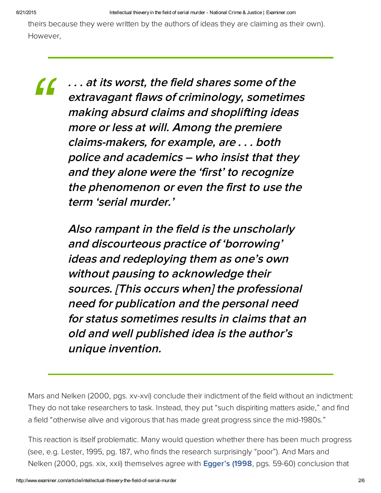theirs because they were written by the authors of ideas they are claiming as their own). However,

*"*

. . . at its worst, the field shares some of the extravagant flaws of criminology, sometimes making absurd claims and shoplifting ideas more or less at will. Among the premiere claims‑makers, for example, are . . . both police and academics – who insist that they and they alone were the 'first' to recognize the phenomenon or even the first to use the term 'serial murder.'

Also rampant in the field is the unscholarly and discourteous practice of 'borrowing' ideas and redeploying them as one's own without pausing to acknowledge their sources. [This occurs when] the professional need for publication and the personal need for status sometimes results in claims that an old and well published idea is the author's unique invention.

Mars and Nelken (2000, pgs. xv-xvi) conclude their indictment of the field without an indictment: They do not take researchers to task. Instead, they put "such dispiriting matters aside," and find a field "otherwise alive and vigorous that has made great progress since the mid-1980s."

This reaction is itself problematic. Many would question whether there has been much progress (see, e.g. Lester, 1995, pg. 187, who finds the research surprisingly "poor"). And Mars and Nelken (2000, pgs. xix, xxii) themselves agree with **[Egger's \(1998](http://bit.ly/124VJJI)**, pgs. 59-60) conclusion that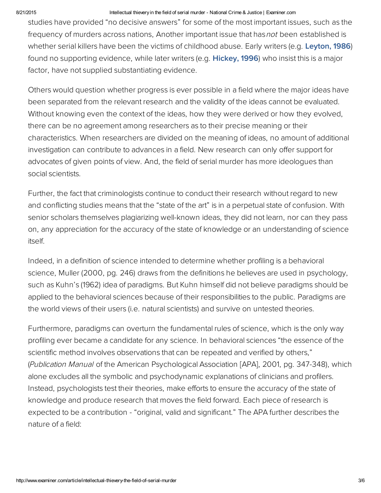#### 8/21/2015 Intellectual thievery in the field of serial murder National Crime & Justice | Examiner.com

studies have provided "no decisive answers" for some of the most important issues, such as the frequency of murders across nations, Another important issue that has *not* been established is whether serial killers have been the victims of childhood abuse. Early writers (e.g. [Leyton, 1986\)](https://www.publishersweekly.com/978-0-7867-1228-1) found no supporting evidence, while later writers (e.g. Hickey, 1996) who insist this is a major factor, have not supplied substantiating evidence.

Others would question whether progress is ever possible in a field where the major ideas have been separated from the relevant research and the validity of the ideas cannot be evaluated. Without knowing even the context of the ideas, how they were derived or how they evolved, there can be no agreement among researchers as to their precise meaning or their characteristics. When researchers are divided on the meaning of ideas, no amount of additional investigation can contribute to advances in a field. New research can only offer support for advocates of given points of view. And, the field of serial murder has more ideologues than social scientists.

Further, the fact that criminologists continue to conduct their research without regard to new and conflicting studies means that the "state of the art" is in a perpetual state of confusion. With senior scholars themselves plagiarizing well-known ideas, they did not learn, nor can they pass on, any appreciation for the accuracy of the state of knowledge or an understanding of science itself.

Indeed, in a definition of science intended to determine whether profiling is a behavioral science, Muller (2000, pg. 246) draws from the definitions he believes are used in psychology, such as Kuhn's (1962) idea of paradigms. But Kuhn himself did not believe paradigms should be applied to the behavioral sciences because of their responsibilities to the public. Paradigms are the world views of their users (i.e. natural scientists) and survive on untested theories.

Furthermore, paradigms can overturn the fundamental rules of science, which is the only way profiling ever became a candidate for any science. In behavioral sciences "the essence of the scientific method involves observations that can be repeated and verified by others," (Publication Manual of the American Psychological Association [APA], 2001, pg. 347-348), which alone excludes all the symbolic and psychodynamic explanations of clinicians and profilers. Instead, psychologists test their theories, make efforts to ensure the accuracy of the state of knowledge and produce research that moves the field forward. Each piece of research is expected to be a contribution - "original, valid and significant." The APA further describes the nature of a field: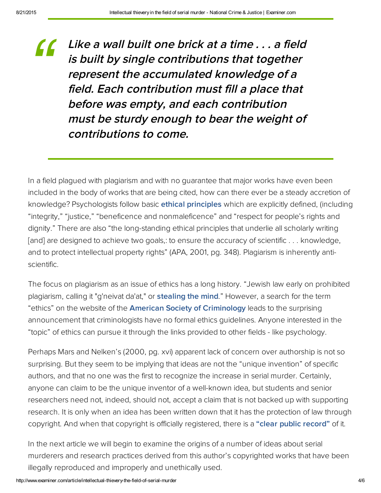Like a wall built one brick at a time . . . a field is built by single contributions that tog[ether](https://beap.gemini.yahoo.com/mbclk?bv=1.0.0&es=XoIb_gAGIS.1I_J2_HDm3fGeJIaPLCsfo8Gsngf_kYntmzhfXrAFE4Savl79No2JI4ETFEAbcytdd.P845NaG1s9V9J6F5difmqLJBYwKwGyG8SDYpXJ.52qQw1.uA0KPkl2Xk8eVk.f_CYQYCqc4C_eKFk70w0eIJMWsaey6rKe3jFQAOO4qPIxm.79zAPlbN9lEv4TEOrU71Y8wC8DFqC.z_nSTZI0QMqCKyBh6VAXMUBwIz2wAx0DWDZdLb4Osa45G.SPJiEftpxj18qjTADbPYvu4NR3itwSKLK3nFodFvcKU8x8jGSj6.wdAzMLeEDgWM9qGK4neEKMRq4Y3Bg6YbtfDNWY3jrbQQ3u0.P_oKL32UhgXazu5aI4jxkyLwum9CGtYuZH6Uz.ueFtuWQ2pqlKQityIX74spAPrO.GEMsGVkCehOH30G1Ul6yd7rq00ezdTuPOBkG8BvIFzq.Pxm25FmDcLvQxWbuP5ubZe6zRH6Rrydmj.S0lwRG_LaNuijytQAoSBtxk%26lp=) represent the accumulated [knowledge](https://beap.gemini.yahoo.com/mbclk?bv=1.0.0&es=18d5B1EGIS_iPRcDCDqTA50LtBcqLo0VmpjKnhlMguuG_ndv9ye2PkOA8OPjs5G2GMli6px4HVfF_6OFXqKjmh7KyEsXcbAL4rd2NPMSkJZIWtax7aG6vu_3eWdTbXj3choWJ_znbNrvvjlIdyRGQLfp7mBFPArPinVK4f5G2tYf8ADmZ0s6giTwfTQiiAqApAKaJY050bXShLOP83.kDWtoXHilnoqcRkB19EI4uKsrwfXDujYQIJ_ZRHv517OOpFrUT5kBiq5DMyzOcutmxf5H7sFCoU_JELAF..6mm1_98BycoZichedGM0sWrjfYOE1GyUU9YjfebAXYgIGcmxOi93p4aWrXqBrpWh.MF_CNPXwJL4FQKs99KEIk0KbLIGyP2bHQ8.ws..ogYUc_kGkEQ.GrZv4i087clawPcJumtRA3_HhQGur_0NfEbJcJoptxPclKWqhhn2GB6xDN0rE0Yaykp38ChWu.KVqVktt2.DN_dKyjaKq1nbdcBvv.HQBK3ZvQyNei0YAimjg60YqvwShs%26lp=) of <sup>a</sup> field. Each [contribution](http://www.examiner.com/article/kate-middleton-s-pubic-hair-becomes-a-joke-after-bottomless-photos-leak?cid=yahoo-recommends-inbound) must fill <sup>a</sup> place that [before](http://www.examiner.com/article/top-ten-sexual-fantasies-for-men?cid=yahoo-recommends-inbound) was empty, and each [contribu](https://beap.gemini.yahoo.com/mbclk?bv=1.0.0&es=18d5B1EGIS_iPRcDCDqTA50LtBcqLo0VmpjKnhlMguuG_ndv9ye2PkOA8OPjs5G2GMli6px4HVfF_6OFXqKjmh7KyEsXcbAL4rd2NPMSkJZIWtax7aG6vu_3eWdTbXj3choWJ_znbNrvvjlIdyRGQLfp7mBFPArPinVK4f5G2tYf8ADmZ0s6giTwfTQiiAqApAKaJY050bXShLOP83.kDWtoXHilnoqcRkB19EI4uKsrwfXDujYQIJ_ZRHv517OOpFrUT5kBiq5DMyzOcutmxf5H7sFCoU_JELAF..6mm1_98BycoZichedGM0sWrjfYOE1GyUU9YjfebAXYgIGcmxOi93p4aWrXqBrpWh.MF_CNPXwJL4FQKs99KEIk0KbLIGyP2bHQ8.ws..ogYUc_kGkEQ.GrZv4i087clawPcJumtRA3_HhQGur_0NfEbJcJoptxPclKWqhhn2GB6xDN0rE0Yaykp38ChWu.KVqVktt2.DN_dKyjaKq1nbdcBvv.HQBK3ZvQyNei0YAimjg60YqvwShs%26lp=)tion must be sturdy [enough](http://www.examiner.com/article/kate-middleton-s-pubic-hair-becomes-a-joke-after-bottomless-photos-leak?cid=yahoo-recommends-inbound) to bear the weig[ht](https://beap.gemini.yahoo.com/mbclk?bv=1.0.0&es=XoIb_gAGIS.1I_J2_HDm3fGeJIaPLCsfo8Gsngf_kYntmzhfXrAFE4Savl79No2JI4ETFEAbcytdd.P845NaG1s9V9J6F5difmqLJBYwKwGyG8SDYpXJ.52qQw1.uA0KPkl2Xk8eVk.f_CYQYCqc4C_eKFk70w0eIJMWsaey6rKe3jFQAOO4qPIxm.79zAPlbN9lEv4TEOrU71Y8wC8DFqC.z_nSTZI0QMqCKyBh6VAXMUBwIz2wAx0DWDZdLb4Osa45G.SPJiEftpxj18qjTADbPYvu4NR3itwSKLK3nFodFvcKU8x8jGSj6.wdAzMLeEDgWM9qGK4neEKMRq4Y3Bg6YbtfDNWY3jrbQQ3u0.P_oKL32UhgXazu5aI4jxkyLwum9CGtYuZH6Uz.ueFtuWQ2pqlKQityIX74spAPrO.GEMsGVkCehOH30G1Ul6yd7rq00ezdTuPOBkG8BvIFzq.Pxm25FmDcLvQxWbuP5ubZe6zRH6Rrydmj.S0lwRG_LaNuijytQAoSBtxk%26lp=) of contributions to come. *["](http://www.examiner.com/article/top-ten-sexual-fantasies-for-men?cid=yahoo-recommends-inbound)*

In a field plagued with plagiarism and with no guarantee that major works have even been included in the body of works that are being cited, how can there ever be a steady accretion of [knowledge?](http://www.examiner.com/article/downhearted-shelter-dog-no-longer-faces-visitors-passing-by-to-adopt?cid=yahoo-recommends-inbound) Psychologists follow basic **ethical [principles](http://bit.ly/124T9Ud)** which are explicitly defined, [\(including](https://beap.gemini.yahoo.com/mbclk?bv=1.0.0&es=gzT5rxwGIS.zHJ1dxcKnOTB9IkCKxAjICqKL9OIE9kddzy.F1p_MfX6EZd3K5i4pSn_7jtdnYmYcNGM.pZUHE1NS3ui62eh191HiqW1QPOexioCTf91E0LXdNohJWRqjee7AzbMD_TfZ_yt8Qd26SF_qhlsxdiBSSDegMBs_gVa7.zn1Ai6l4gEplKldfRR_e858LHU7.h1haRy2h8fxxi_UrCFCoZkP.si1I0V3V3Y1svLiLq6518eMFqxE8ix0TZUG41KUUb4E.mKULNl3ZmoxmkIxiowfPe1lLpSVKsPOwmCMWk20HffyWKVeWt3KupBqozG1BXLvLFxV4467RJQuRZGoP1bog6VQXjslQslYEUzQtCEXQn__lOJs8dWhYupBpd4FPeuYiz4LnIJSGY.wVmHzzjtuNjpqmkNwXHG._mjlqs0m11wgKBk3C5flONFEOZoc4ZJdhUetnNXlXPow3YOwbT8Uqinjv8aLm_xj8ciMRehYLWgdpnlpoQkSKyk1N9islBpe_H5fZI_ZnlZiLXZT8T.DMEbxqv2J433bNn8Ped3.C92IT1KhsRPq7RRHT5PdArjywDADH8FZ_a4IJb0E9m1ql7pPnkyBAGcBXjpNEj8rtFtp.jSIuQN2U9CF9e.Ry5I09P1N3i.mwA0WtPldR6pqPg1Xyp.D1IKUsW8Sg3jkk7EZrNZF.MnP2HnI74C3s1L6stbCdSCvBw--%26lp=) "integrity," "justice," "beneficence and nonmaleficence" and ["respect](https://beap.gemini.yahoo.com/mbclk?bv=1.0.0&es=zsqaBy0GIS8cOQGedHa.GzTZqIe6xoPWASxVHEZGrffPKNXWB4qeimHzZNYVzNC6xyI_5qxE4KJJI.2bfC6VBzu1tJFcgJ1YUKce0Q3BvjAVoEet7oijWlD3BPZSaR5dhx6lSkTJgw4YQebkIRxN_BSyvan2Kyqp0_M75jv9cJdX7_QwGRmY4MsXzzrk2dUx7c3p40utlo2xJN3tk5pJdAM8c03L7Dzsuq01iya8eEryr_gqsfbdNClcKgBOBXsmNEzk5gWvYjck.tHsxW5e1zaQ2DLknXhdo18IDW_nS9bPqox1hX8GSEI_HDiYNPllUHJdGbfeeXx83iB1Ojx1raT.981chJlWvpnJz9yyFOs_Osnv3JeL7OYVEuu7VOebsPLEX8N7KiuOLl2zucpOoksKLkIpKFfIRfPdGMXD2JD0Rmig3MOkp0dwXkvz0dGL89CMiiabPQ8YIQVXqlDB70kpKDyvuFjSd4TW3GNoTKyDG1QbJ51OkzWeH0Y466kcwpnHLy6nA.jTv3oxxStaCE7GpNq4MBiYlipbasIB5sSG8lJUaVM3B1ye4y5FKy.OuQ--%26lp=) for people's rights and dignity." There are also "the [long-standing](http://www.examiner.com/article/joel-osteen-s-church-theft-opens-can-of-worms-jaws-drop-as-folks-do-the-math?cid=yahoo-recommends-inbound) ethical principles that underlie all scholarly writing [and] are [designed](http://www.examiner.com/article/downhearted-shelter-dog-no-longer-faces-visitors-passing-by-to-adopt?cid=yahoo-recommends-inbound) to achieve two goals,: to ensure the [accuracy](https://beap.gemini.yahoo.com/mbclk?bv=1.0.0&es=zsqaBy0GIS8cOQGedHa.GzTZqIe6xoPWASxVHEZGrffPKNXWB4qeimHzZNYVzNC6xyI_5qxE4KJJI.2bfC6VBzu1tJFcgJ1YUKce0Q3BvjAVoEet7oijWlD3BPZSaR5dhx6lSkTJgw4YQebkIRxN_BSyvan2Kyqp0_M75jv9cJdX7_QwGRmY4MsXzzrk2dUx7c3p40utlo2xJN3tk5pJdAM8c03L7Dzsuq01iya8eEryr_gqsfbdNClcKgBOBXsmNEzk5gWvYjck.tHsxW5e1zaQ2DLknXhdo18IDW_nS9bPqox1hX8GSEI_HDiYNPllUHJdGbfeeXx83iB1Ojx1raT.981chJlWvpnJz9yyFOs_Osnv3JeL7OYVEuu7VOebsPLEX8N7KiuOLl2zucpOoksKLkIpKFfIRfPdGMXD2JD0Rmig3MOkp0dwXkvz0dGL89CMiiabPQ8YIQVXqlDB70kpKDyvuFjSd4TW3GNoTKyDG1QbJ51OkzWeH0Y466kcwpnHLy6nA.jTv3oxxStaCE7GpNq4MBiYlipbasIB5sSG8lJUaVM3B1ye4y5FKy.OuQ--%26lp=) of scientific . . . [knowledge,](https://beap.gemini.yahoo.com/mbclk?bv=1.0.0&es=gzT5rxwGIS.zHJ1dxcKnOTB9IkCKxAjICqKL9OIE9kddzy.F1p_MfX6EZd3K5i4pSn_7jtdnYmYcNGM.pZUHE1NS3ui62eh191HiqW1QPOexioCTf91E0LXdNohJWRqjee7AzbMD_TfZ_yt8Qd26SF_qhlsxdiBSSDegMBs_gVa7.zn1Ai6l4gEplKldfRR_e858LHU7.h1haRy2h8fxxi_UrCFCoZkP.si1I0V3V3Y1svLiLq6518eMFqxE8ix0TZUG41KUUb4E.mKULNl3ZmoxmkIxiowfPe1lLpSVKsPOwmCMWk20HffyWKVeWt3KupBqozG1BXLvLFxV4467RJQuRZGoP1bog6VQXjslQslYEUzQtCEXQn__lOJs8dWhYupBpd4FPeuYiz4LnIJSGY.wVmHzzjtuNjpqmkNwXHG._mjlqs0m11wgKBk3C5flONFEOZoc4ZJdhUetnNXlXPow3YOwbT8Uqinjv8aLm_xj8ciMRehYLWgdpnlpoQkSKyk1N9islBpe_H5fZI_ZnlZiLXZT8T.DMEbxqv2J433bNn8Ped3.C92IT1KhsRPq7RRHT5PdArjywDADH8FZ_a4IJb0E9m1ql7pPnkyBAGcBXjpNEj8rtFtp.jSIuQN2U9CF9e.Ry5I09P1N3i.mwA0WtPldR6pqPg1Xyp.D1IKUsW8Sg3jkk7EZrNZF.MnP2HnI74C3s1L6stbCdSCvBw--%26lp=) and to protect intellectual [property](http://www.examiner.com/article/joel-osteen-s-church-theft-opens-can-of-worms-jaws-drop-as-folks-do-the-math?cid=yahoo-recommends-inbound) rights" (APA, 2001, pg. 348). Plagiarism is inherently [anti](http://info.yahoo.com/privacy/us/yahoo/relevantads.html)scientific.

The focus on plagiarism as an issue of ethics has a long [histor](http://info.yahoo.com/privacy/us/yahoo/relevantads.html)y. "Jewish law early on prohibited [plagiarism,](https://yahoo.com/) calling it "g'neivat da'at," or **stealing the mind**." However, a search for the term "ethics" on the website of the **American Society of [Criminology](http://bit.ly/XUCwt8)** leads to the surprising announcement that criminologists have no formal ethics guidelines. Anyone interested in the "topic" of ethics can pursue it through the links provided to other fields - like psychology.

Perhaps Mars and Nelken's (2000, pg. xvi) apparent lack of concern over authorship is not so surprising. But they seem to be implying that ideas are not the "unique invention" of specific authors, and that no one was the first to recognize the increase in serial murder. Certainly, anyone can claim to be the unique inventor of a well-known idea, but students and senior researchers need not, indeed, should not, accept a claim that is not backed up with supporting research. It is only when an idea has been written down that it has the protection of law through copyright. And when that copyright is officially registered, there is a "clear public [record"](http://bit.ly/TS4B6B) of it.

In the next article we will begin to examine the origins of a number of ideas about serial murderers and research practices derived from this author's copyrighted works that have been illegally reproduced and improperly and unethically used.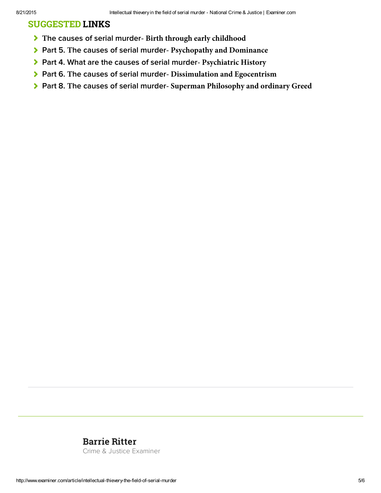### SUGGESTED LINKS

- **T**he causes of serial murder **[Birth through early childhood](http://www.ritterhomicideresearch.com/articles/Part-1.pdf)**
- Part 5. **T**he causes of serial murder **[Psychopathy and Dominance](http://www.ritterhomicideresearch.com/articles/Part-5.pdf)**
- [Part 4. What are the causes of serial murder](http://www.ritterhomicideresearch.com/articles/Part-4.pdf) **Psychiatric History**
- Part 6. **T**he causes of serial murder **[Dissimulation and Egocentrism](http://www.ritterhomicideresearch.com/articles/Part-6.pdf)**
- Part 8. **T**he causes of serial murder **[Superman Philosophy and ordinary Greed](http://www.ritterhomicideresearch.com/articles/Part-8.pdf)**

### [Barrie Ritter](http://www.ritterhomicideresearch.com)

[Crime & Justice Examiner](http://www.examiner.com/crime-and-justice-in-national/barrie-ritter)